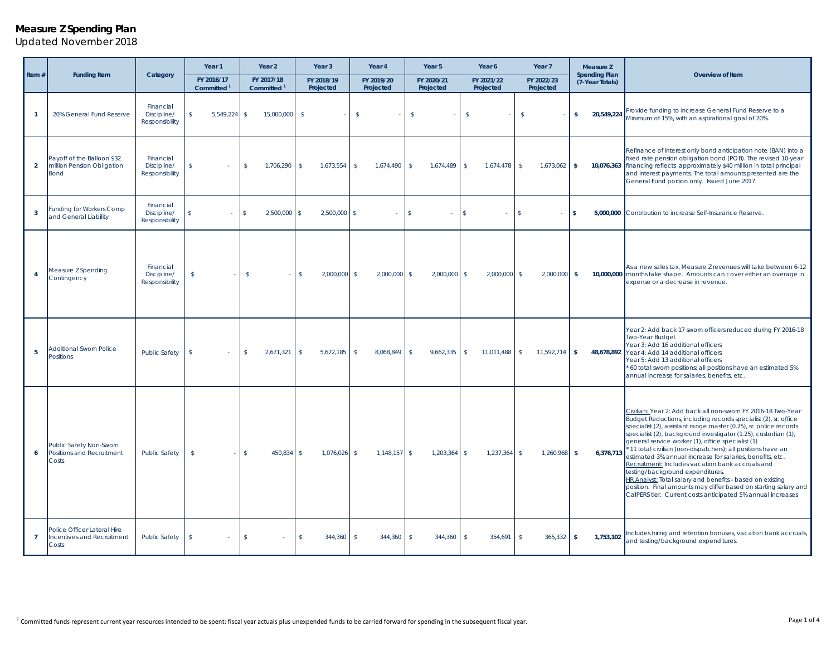#### <sup>1</sup> Committed funds represent current year resources intended to be spent: fiscal year actuals plus unexpended funds to be carried forward for spending in the subsequent fiscal year. Page 1 of 4

# *Updated November 2018*

**Measure Z Spending Plan**

|                |                                                                         |                                            | Year 1                               | Year 2                               | Year <sub>3</sub>          | Year 4                         | Year 5                       | Year 6                    | Year 7                     | Measure Z                               |                                                                                                                                                                                                                                                                                                                                                                                                                                                                                                                                                                                                                                                                                                                                                 |
|----------------|-------------------------------------------------------------------------|--------------------------------------------|--------------------------------------|--------------------------------------|----------------------------|--------------------------------|------------------------------|---------------------------|----------------------------|-----------------------------------------|-------------------------------------------------------------------------------------------------------------------------------------------------------------------------------------------------------------------------------------------------------------------------------------------------------------------------------------------------------------------------------------------------------------------------------------------------------------------------------------------------------------------------------------------------------------------------------------------------------------------------------------------------------------------------------------------------------------------------------------------------|
| Item $#$       | <b>Funding Item</b>                                                     | Category                                   | FY 2016/17<br>Committed <sup>1</sup> | FY 2017/18<br>Committed <sup>1</sup> | FY 2018/19<br>Projected    | FY 2019/20<br>Projected        | FY 2020/21<br>Projected      | FY 2021/22<br>Projected   | FY 2022/23<br>Projected    | <b>Spending Plan</b><br>(7-Year Totals) | Overview of Item                                                                                                                                                                                                                                                                                                                                                                                                                                                                                                                                                                                                                                                                                                                                |
| $\mathbf{1}$   | 20% General Fund Reserve                                                | Financial<br>Discipline/<br>Responsibility | $\mathsf{s}$<br>5,549,224            | 15,000,000<br>-\$                    | $\sqrt{5}$                 | $\mathsf{\$}$                  | $\sqrt{5}$                   | $\sqrt{2}$                | $\mathsf{\$}$              | 20,549,224<br>S.                        | Provide funding to increase General Fund Reserve to a<br>Minimum of 15%, with an aspirational goal of 20%.                                                                                                                                                                                                                                                                                                                                                                                                                                                                                                                                                                                                                                      |
| $\overline{2}$ | Payoff of the Balloon \$32<br>million Pension Obligation<br><b>Bond</b> | Financial<br>Discipline/<br>Responsibility | <sup>\$</sup>                        | 1,706,290<br>-\$                     | 1,673,554<br>s.            | $\mathbf{s}$<br>$1,674,490$ \$ | 1,674,489                    | 1,674,478<br>$\mathbb{S}$ | 1,673,062<br>$\mathbf{s}$  | $\mathbf{s}$                            | Refinance of interest only bond anticipation note (BAN) into a<br>fixed rate pension obligation bond (POB). The revised 10-year<br>10,076,363 financing reflects approximately \$40 million in total principal<br>and interest payments. The total amounts presented are the<br>General Fund portion only. Issued June 2017.                                                                                                                                                                                                                                                                                                                                                                                                                    |
| $\mathbf{3}$   | <b>Funding for Workers Comp</b><br>and General Liability                | Financial<br>Discipline/<br>Responsibility | \$                                   | 2.500.000<br>$\hat{\mathbf{S}}$      | 2.500.000<br>\$            | $\mathbf{s}$<br>÷              | $\hat{\mathbf{S}}$<br>$\sim$ | \$                        | \$                         | 5.000.000<br>$\hat{\mathbf{s}}$         | Contribution to increase Self-Insurance Reserve.                                                                                                                                                                                                                                                                                                                                                                                                                                                                                                                                                                                                                                                                                                |
| $\overline{4}$ | Measure Z Spending<br>Contingency                                       | Financial<br>Discipline/<br>Responsibility | $\mathsf{\$}$                        | $\mathsf{s}$                         | 2,000,000<br>$\mathsf{\$}$ | $\mathbf{s}$<br>$2,000,000$ \$ | $2,000,000$ \$               | $2,000,000$ \$            | 2,000,000                  | $\mathbf{s}$                            | As a new sales tax, Measure Z revenues will take between 6-12<br>10,000,000 months take shape. Amounts can cover either an overage in<br>expense or a decrease in revenue.                                                                                                                                                                                                                                                                                                                                                                                                                                                                                                                                                                      |
| -5             | <b>Additional Sworn Police</b><br>Positions                             | <b>Public Safety</b>                       | $\mathbf{\hat{s}}$                   | 2,671,321<br>s.                      | 5,672,185<br>s.            | $\mathsf{s}$<br>8,068,849 \$   | 9,662,335                    | 11,011,488<br>\$          | 11,592,714<br>$\mathbf{s}$ | ls.                                     | Year 2: Add back 17 sworn officers reduced during FY 2016-18<br>Two-Year Budget<br>Year 3: Add 16 additional officers<br>48,678,892 Year 4: Add 14 additional officers<br>Year 5: Add 13 additional officers<br>60 total sworn positions; all positions have an estimated 5%<br>annual increase for salaries, benefits, etc.                                                                                                                                                                                                                                                                                                                                                                                                                    |
| 6              | Public Safety Non-Sworn<br>Positions and Recruitment<br>Costs           | <b>Public Safety</b>                       | $\mathbf{s}$                         | 450,834<br>$\mathcal{L}$             | 1,076,026<br>\$            | $1,148,157$ \$<br>$\mathbf{s}$ | $1,203,364$ \$               | 1,237,364                 | 1,260,968<br>$\mathbf{s}$  | 6,376,713<br>ls.                        | Civilian: Year 2: Add back all non-sworn FY 2016-18 Two-Year<br>Budget Reductions, including records specialist (2), sr. office<br>specialist (2), assistant range master (0.75), sr. police records<br>specialist (2), background investigator (1.25), custodian (1),<br>general service worker (1), office specialist (1)<br>* 11 total civilian (non-dispatchers); all positions have an<br>estimated 3% annual increase for salaries, benefits, etc.<br>Recruitment: Includes vacation bank accruals and<br>testing/background expenditures.<br>HR Analyst: Total salary and benefits - based on existing<br>position. Final amounts may differ based on starting salary and<br>CalPERS tier. Current costs anticipated 5% annual increases |
| $\overline{7}$ | Police Officer Lateral Hire<br>Incentives and Recruitment<br>Costs      | <b>Public Safety</b>                       | s.                                   | -\$                                  | 344,360<br>s.              | 344,360<br>$\mathcal{S}$       | 344,360<br>$\mathcal{S}$     | $\mathbf{s}$<br>354,691   | 365,332<br>-\$             | 1,753,102<br>- \$                       | Includes hiring and retention bonuses, vacation bank accruals,<br>and testing/background expenditures.                                                                                                                                                                                                                                                                                                                                                                                                                                                                                                                                                                                                                                          |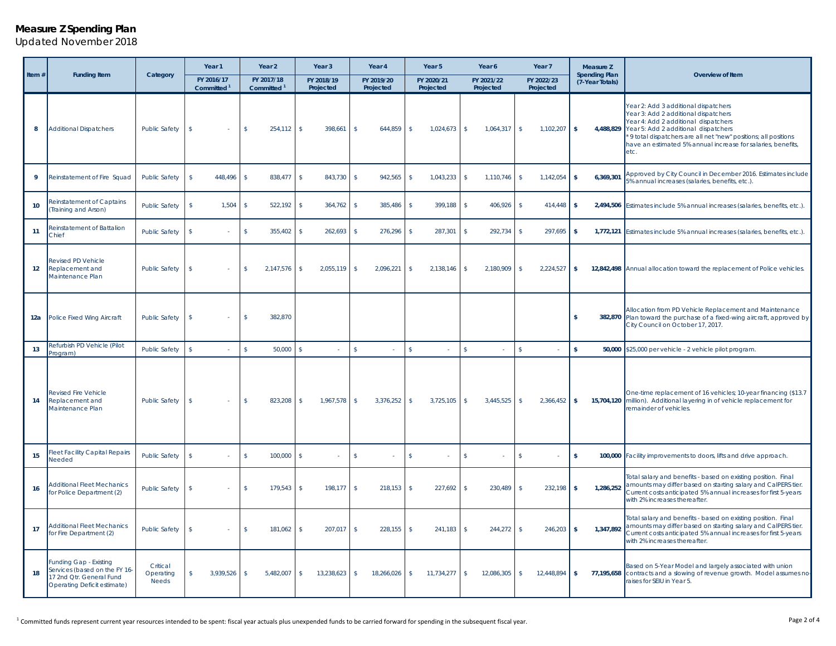### **Measure Z Spending Plan**

*Updated November 2018*

|          | <b>Funding Item</b>                                                                                                |                                | Year 1                               | Year 2                               | Year <sub>3</sub>          | Year 4                             | Year 5                         | Year 6                    | Year 7                         | Measure Z                               |                                                                                                                                                                                                                                                                                                          |
|----------|--------------------------------------------------------------------------------------------------------------------|--------------------------------|--------------------------------------|--------------------------------------|----------------------------|------------------------------------|--------------------------------|---------------------------|--------------------------------|-----------------------------------------|----------------------------------------------------------------------------------------------------------------------------------------------------------------------------------------------------------------------------------------------------------------------------------------------------------|
| Item $#$ |                                                                                                                    | Category                       | FY 2016/17<br>Committed <sup>1</sup> | FY 2017/18<br>Committed <sup>1</sup> | FY 2018/19<br>Projected    | FY 2019/20<br>Projected            | FY 2020/21<br>Projected        | FY 2021/22<br>Projected   | FY 2022/23<br>Projected        | <b>Spending Plan</b><br>(7-Year Totals) | Overview of Item                                                                                                                                                                                                                                                                                         |
| 8        | <b>Additional Dispatchers</b>                                                                                      | <b>Public Safety</b>           | s.                                   | s.<br>$254,112$ \$                   | 398,661                    | 644,859<br>-\$                     | $\mathsf{s}$<br>$1,024,673$ \$ | 1,064,317                 | $\mathsf{S}$<br>$1,102,207$ \$ | 4,488,829                               | Year 2: Add 3 additional dispatchers<br>Year 3: Add 2 additional dispatchers<br>Year 4: Add 2 additional dispatchers<br>Year 5: Add 2 additional dispatchers<br>' 9 total dispatchers are all net "new" positions; all positions<br>have an estimated 5% annual increase for salaries, benefits,<br>etc. |
| 9        | Reinstatement of Fire Squad                                                                                        | <b>Public Safety</b>           | 448,496<br>\$                        | 838,477<br>$\mathbf{\hat{S}}$        | $\mathsf{s}$<br>843,730    | 942,565<br>- \$                    | 1,043,233<br>$\mathbf{s}$      | $\mathbf{s}$<br>1,110,746 | $\mathbf{s}$<br>1,142,054      | 6,369,301                               | Approved by City Council in December 2016. Estimates include<br>5% annual increases (salaries, benefits, etc.).                                                                                                                                                                                          |
| 10       | Reinstatement of Captains<br>(Training and Arson)                                                                  | <b>Public Safety</b>           | $\mathsf{\$}$<br>1,504               | 522,192<br>s                         | $\mathsf{s}$<br>364,762    | 385,486<br>$\mathbf{s}$            | $\mathsf{\$}$<br>399,188       | $\mathsf{s}$<br>406,926   | $\sqrt{5}$<br>414,448          |                                         | 2,494,506 Estimates include 5% annual increases (salaries, benefits, etc.).                                                                                                                                                                                                                              |
| 11       | Reinstatement of Battalion<br>Chief                                                                                | <b>Public Safety</b>           | $\mathsf{s}$                         | $\mathsf{s}$<br>355,402              | 262,693<br>\$              | 276,296<br>-\$                     | $\mathbf{s}$<br>287,301        | $\mathsf{s}$<br>292,734   | 297,695<br>$\sqrt{5}$          | -S                                      | 1,772,121 Estimates include 5% annual increases (salaries, benefits, etc.).                                                                                                                                                                                                                              |
| 12       | <b>Revised PD Vehicle</b><br>Replacement and<br>Maintenance Plan                                                   | <b>Public Safety</b>           | s.                                   | s.<br>2,147,576                      | s.<br>2,055,119            | -S<br>2,096,221                    | $\mathsf{s}$<br>2,138,146      | \$<br>2,180,909           | $\sqrt{5}$<br>2,224,527        | $\overline{\phantom{a}}$                | 12,842,498 Annual allocation toward the replacement of Police vehicles.                                                                                                                                                                                                                                  |
| 12a      | Police Fixed Wing Aircraft                                                                                         | <b>Public Safety</b>           | $\mathbf{s}$                         | 382.870<br>s.                        |                            |                                    |                                |                           |                                |                                         | Allocation from PD Vehicle Replacement and Maintenance<br>382,870 Plan toward the purchase of a fixed-wing aircraft, approved by<br>City Council on October 17, 2017.                                                                                                                                    |
| 13       | Refurbish PD Vehicle (Pilot<br>rogram)                                                                             | <b>Public Safety</b>           | $\mathbf{s}$                         | $\mathbf{s}$<br>$50,000$ \$          |                            | $\mathsf{s}$<br>÷.                 | $\mathbf{\hat{S}}$<br>×        | $\mathbf{s}$              | $\mathsf{s}$                   | \$<br>50,000                            | \$25,000 per vehicle - 2 vehicle pilot program.                                                                                                                                                                                                                                                          |
| 14       | <b>Revised Fire Vehicle</b><br>Replacement and<br>Maintenance Plan                                                 | <b>Public Safety</b>           | $\mathbf{s}$                         | s.<br>823,208                        | 1,967,578<br>s.            | 3,376,252<br>$\mathbf{s}$          | S<br>$3,725,105$ \$            | 3,445,525                 | $\mathbf{s}$<br>2,366,452      | $\mathbf{s}$                            | One-time replacement of 16 vehicles; 10-year financing (\$13.7<br>15,704,120 million). Additional layering in of vehicle replacement for<br>remainder of vehicles.                                                                                                                                       |
| 15       | Fleet Facility Capital Repairs<br>Needed                                                                           | <b>Public Safety</b>           | $\mathbf{s}$                         | s.<br>$100,000$ \$                   |                            | $\mathbf{s}$                       | $\mathbf{s}$                   | $\mathsf{s}$              | $\mathsf{s}$                   | S.                                      | 100,000 Facility improvements to doors, lifts and drive approach.                                                                                                                                                                                                                                        |
| 16       | <b>Additional Fleet Mechanics</b><br>for Police Department (2)                                                     | <b>Public Safety</b>           | <sup>\$</sup>                        | s.<br>179,543                        | s.<br>198,177              | $\mathbf{\hat{s}}$<br>$218,153$ \$ | 227,692                        | $\mathbf{s}$<br>230,489   | $\mathbf{s}$<br>232,198        | 1,286,252<br>-S                         | Total salary and benefits - based on existing position. Final<br>amounts may differ based on starting salary and CalPERS tier.<br>Current costs anticipated 5% annual increases for first 5-years<br>with 2% increases thereafter.                                                                       |
| 17       | <b>Additional Fleet Mechanics</b><br>for Fire Department (2)                                                       | <b>Public Safety</b>           | s.                                   | 181,062<br>s                         | $\mathsf{s}$<br>207,017    | 228,155<br>-\$                     | $\sqrt{5}$<br>241,183          | 244,272<br>$\mathsf{\$}$  | $\sqrt{5}$<br>$246,203$ \$     | 1,347,892                               | Total salary and benefits - based on existing position. Final<br>amounts may differ based on starting salary and CalPERS tier.<br>Current costs anticipated 5% annual increases for first 5-years<br>with 2% increases thereafter.                                                                       |
| 18       | Funding Gap - Existing<br>Services (based on the FY 16-<br>17 2nd Qtr. General Fund<br>Operating Deficit estimate) | Critical<br>Operating<br>Needs | 3,939,526 \$<br>\$                   | 5,482,007                            | $\mathbb{S}$<br>13,238,623 | $\mathsf{\$}$<br>18,266,026        | $$^{\circ}$<br>$11,734,277$ \$ | 12,086,305                | $\sqrt{5}$<br>12,448,894 \$    | 77,195,658                              | Based on 5-Year Model and largely associated with union<br>contracts and a slowing of revenue growth. Model assumes no-<br>raises for SEIU in Year 5.                                                                                                                                                    |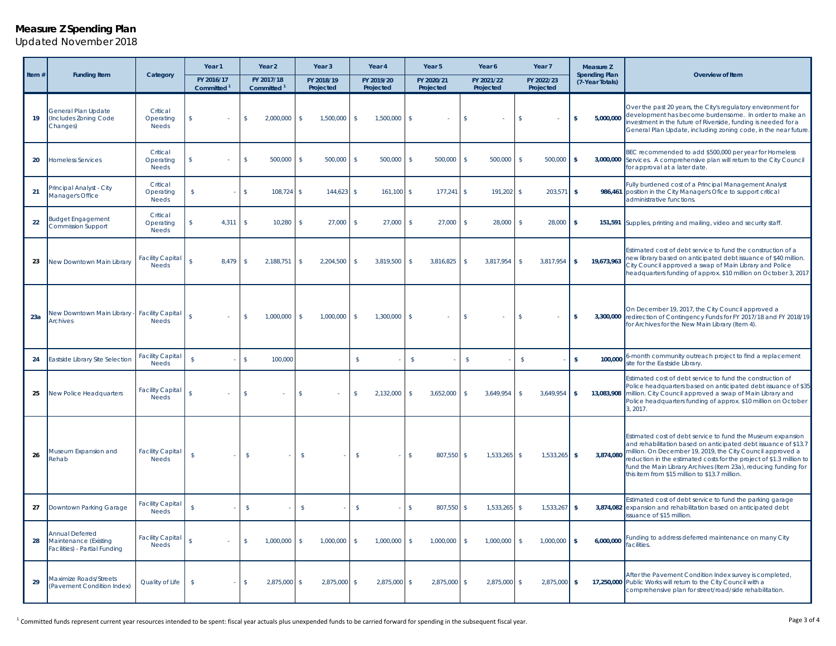### **Measure Z Spending Plan**

*Updated November 2018*

|          |                                                                           |                                         | Year 2<br>Year <sub>1</sub>          |                                      | Year <sub>3</sub><br>Year 4     |                                 | Year 5                        | Year 6                    | Year <sub>7</sub>                  | Measure Z                               |                                                                                                                                                                                                                                                                                                                                                                                          |
|----------|---------------------------------------------------------------------------|-----------------------------------------|--------------------------------------|--------------------------------------|---------------------------------|---------------------------------|-------------------------------|---------------------------|------------------------------------|-----------------------------------------|------------------------------------------------------------------------------------------------------------------------------------------------------------------------------------------------------------------------------------------------------------------------------------------------------------------------------------------------------------------------------------------|
| Item $#$ | <b>Funding Item</b>                                                       | Category                                | FY 2016/17<br>Committed <sup>1</sup> | FY 2017/18<br>Committed <sup>1</sup> | FY 2018/19<br>Projected         | FY 2019/20<br>Projected         | FY 2020/21<br>Projected       | FY 2021/22<br>Projected   | FY 2022/23<br>Projected            | <b>Spending Plan</b><br>(7-Year Totals) | Overview of Item                                                                                                                                                                                                                                                                                                                                                                         |
| 19       | General Plan Update<br>(Includes Zoning Code<br>Changes)                  | Critical<br>Operating<br><b>Needs</b>   | \$                                   | $\mathsf{s}$<br>2,000,000            | \$<br>1,500,000                 | \$<br>1,500,000                 | s                             | \$                        | s                                  | 5,000,000                               | Over the past 20 years, the City's regulatory environment for<br>development has become burdensome. In order to make an<br>nvestment in the future of Riverside, funding is needed for a<br>General Plan Update, including zoning code, in the near future.                                                                                                                              |
| 20       | <b>Homeless Services</b>                                                  | Critical<br>Operating<br><b>Needs</b>   | \$                                   | $\mathsf{\$}$<br>500,000             | 500,000<br>-S                   | 500,000<br>-S                   | $\mathbf{\hat{s}}$<br>500,000 | 500,000<br>\$             | $\mathbf{s}$<br>500,000            | - \$                                    | BEC recommended to add \$500,000 per year for Homeless<br>3,000,000 Services. A comprehensive plan will return to the City Council<br>for approval at a later date.                                                                                                                                                                                                                      |
| 21       | Principal Analyst - City<br>Manager's Office                              | Critical<br>Operating<br><b>Needs</b>   | \$                                   | $\mathsf{\$}$<br>108,724             | $\mathbf{s}$<br>144,623         | 161,100<br>s.                   | $\mathsf{s}$<br>177,241       | $\mathsf{s}$<br>191,202   | $203,571$ \$<br>$\mathbf{\hat{s}}$ |                                         | Fully burdened cost of a Principal Management Analyst<br>986,461 position in the City Manager's Ofice to support critical<br>administrative functions.                                                                                                                                                                                                                                   |
| 22       | <b>Budget Engagement</b><br>Commission Support                            | Critical<br>Operating<br><b>Needs</b>   | 4,311<br>\$                          | $\mathbf{s}$<br>10,280               | \$<br>27,000                    | 27,000<br><sup>\$</sup>         | 27,000<br>\$                  | $\mathsf{s}$<br>28,000    | 28,000<br>\$                       | $\sqrt{5}$                              | 151,591 Supplies, printing and mailing, video and security staff.                                                                                                                                                                                                                                                                                                                        |
| 23       | New Downtown Main Library                                                 | <b>Facility Capital</b><br><b>Needs</b> | $\hat{\mathcal{L}}$<br>8,479         | -\$<br>2,188,751                     | 2,204,500<br>-\$                | \$<br>3,819,500                 | 3,816,825<br>\$               | \$<br>3,817,954           | 3,817,954<br>$\sqrt{2}$            | 19,673,963<br>$\mathbf{s}$              | Estimated cost of debt service to fund the construction of a<br>new library based on anticipated debt issuance of \$40 million.<br>City Council approved a swap of Main Library and Police<br>headquarters funding of approx. \$10 million on October 3, 2017                                                                                                                            |
| 23a      | <b>New Downtown Main Library -</b><br><b>Archives</b>                     | <b>Facility Capital</b><br><b>Needs</b> | $\mathbf{s}$                         | $\mathbf{\hat{s}}$<br>1,000,000      | S.<br>1,000,000                 | $\mathsf{s}$<br>1,300,000       | s.                            | \$                        | $\mathbf{\hat{S}}$                 | s.                                      | On December 19, 2017, the City Council approved a<br>3,300,000 redirection of Contingency Funds for FY 2017/18 and FY 2018/19<br>for Archives for the New Main Library (Item 4).                                                                                                                                                                                                         |
| 24       | Eastside Library Site Selection                                           | <b>Facility Capital</b><br><b>Needs</b> | $\mathbf{s}$                         | 100,000<br>$\mathbf{\hat{s}}$        |                                 | $\mathsf{s}$                    | $\mathsf{S}$                  | $\sqrt{2}$                | $\mathbf{s}$                       | 100,000<br>$\hat{\mathbf{x}}$           | 6-month community outreach project to find a replacement<br>site for the Eastside Library                                                                                                                                                                                                                                                                                                |
| 25       | New Police Headquarters                                                   | <b>Facility Capital</b><br><b>Needs</b> | $\hat{\mathbf{x}}$                   | $\mathbf{\hat{s}}$                   | $\mathbf{\hat{S}}$              | 2,132,000<br>\$                 | 3,652,000<br>\$               | $\mathbf{s}$<br>3,649,954 | 3,649,954<br>$\mathbf{\hat{s}}$    | 13,083,908<br>-\$                       | Estimated cost of debt service to fund the construction of<br>Police headquarters based on anticipated debt issuance of \$35<br>million. City Council approved a swap of Main Library and<br>Police headquarters funding of approx. \$10 million on October<br>3, 2017.                                                                                                                  |
| 26       | Museum Expansion and<br>Rehab                                             | <b>Facility Capital</b><br><b>Needs</b> | $\overline{\mathbf{s}}$              | $\mathsf{\$}$                        | $\mathbf{s}$<br>$\sim$          | $\sqrt{5}$<br>÷.                | $\mathsf{\$}$<br>807,550      | 1,533,265<br>\$           | 1,533,265<br>$\mathbf{\hat{s}}$    | 3,874,080<br>- \$                       | Estimated cost of debt service to fund the Museum expansion<br>and rehabilitation based on anticipated debt issuance of \$13.7<br>million. On December 19, 2019, the City Council approved a<br>eduction in the estimated costs for the project of \$1.3 million to<br>fund the Main Library Archives (Item 23a), reducing funding for<br>this item from \$15 million to \$13.7 million. |
| 27       | Downtown Parking Garage                                                   | <b>Facility Capital</b><br><b>Needs</b> | $\mathbf{s}$                         | $\mathsf{\$}$                        | $\mathsf{s}$                    | $\mathsf{\$}$<br>÷,             | $\mathbf{s}$<br>807,550       | \$<br>1,533,265           | 1,533,267<br>$\mathbf{\hat{s}}$    | - \$                                    | Estimated cost of debt service to fund the parking garage<br>3,874,082 expansion and rehabilitation based on anticipated debt<br>ssuance of \$15 million.                                                                                                                                                                                                                                |
| 28       | Annual Deferred<br>Maintenance (Existing<br>Facilities) - Partial Funding | <b>Facility Capital</b><br><b>Needs</b> | \$                                   | 1,000,000<br>$\mathbb{S}$            | 1,000,000<br>\$                 | 1,000,000<br>$\mathcal{L}$      | 1,000,000<br>$\mathcal{L}$    | 1,000,000<br>\$           | 1,000,000<br>$\mathsf{s}$          | 6,000,000<br>$\mathbf{s}$               | unding to address deferred maintenance on many City<br>acilities.                                                                                                                                                                                                                                                                                                                        |
| 29       | <b>Maximize Roads/Streets</b><br>(Pavement Condition Index)               | Quality of Life                         | $\mathbf{s}$                         | 2.875.000<br>$\mathbf{\hat{s}}$      | 2.875.000<br>$\mathbf{\hat{S}}$ | 2.875.000<br>$\mathbf{\hat{S}}$ | 2.875.000<br>s.               | 2.875.000<br>\$           | 2.875.000<br>$\mathbf{\hat{s}}$    | $\mathbf{s}$                            | After the Pavement Condition Index survey is completed,<br>17,250,000 Public Works will return to the City Council with a<br>comprehensive plan for street/road/side rehabilitation.                                                                                                                                                                                                     |